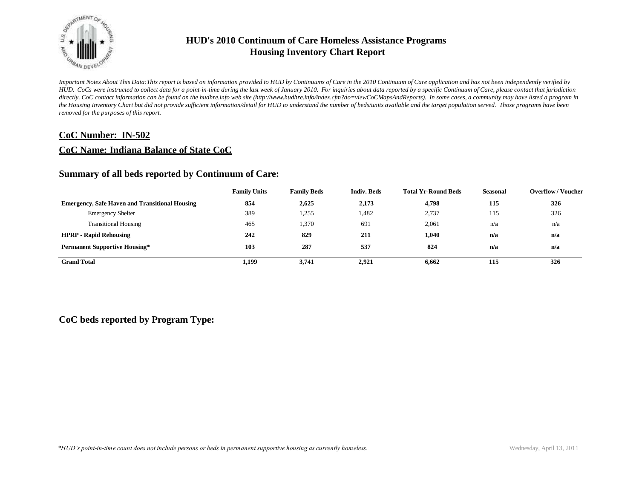

*Important Notes About This Data:This report is based on information provided to HUD by Continuums of Care in the 2010 Continuum of Care application and has not been independently verified by HUD. CoCs were instructed to collect data for a point-in-time during the last week of January 2010. For inquiries about data reported by a specific Continuum of Care, please contact that jurisdiction*  directly. CoC contact information can be found on the hudhre.info web site (http://www.hudhre.info/index.cfm?do=viewCoCMapsAndReports). In some cases, a community may have listed a program in *the Housing Inventory Chart but did not provide sufficient information/detail for HUD to understand the number of beds/units available and the target population served. Those programs have been removed for the purposes of this report.*

### **CoC Number: IN-502**

### **CoC Name: Indiana Balance of State CoC**

### **Summary of all beds reported by Continuum of Care:**

|                                                       | <b>Family Units</b> | <b>Family Beds</b> | <b>Indiv. Beds</b> | <b>Total Yr-Round Beds</b> | Seasonal | <b>Overflow / Voucher</b> |
|-------------------------------------------------------|---------------------|--------------------|--------------------|----------------------------|----------|---------------------------|
| <b>Emergency, Safe Haven and Transitional Housing</b> | 854                 | 2,625              | 2,173              | 4,798                      | 115      | 326                       |
| <b>Emergency Shelter</b>                              | 389                 | 1,255              | 1,482              | 2,737                      | 115      | 326                       |
| <b>Transitional Housing</b>                           | 465                 | .370               | 691                | 2,061                      | n/a      | n/a                       |
| <b>HPRP - Rapid Rehousing</b>                         | 242                 | 829                | 211                | 1.040                      | n/a      | n/a                       |
| <b>Permanent Supportive Housing*</b>                  | 103                 | 287                | 537                | 824                        | n/a      | n/a                       |
| <b>Grand Total</b>                                    | 1,199               | 3.741              | 2.921              | 6.662                      | 115      | 326                       |

### **CoC beds reported by Program Type:**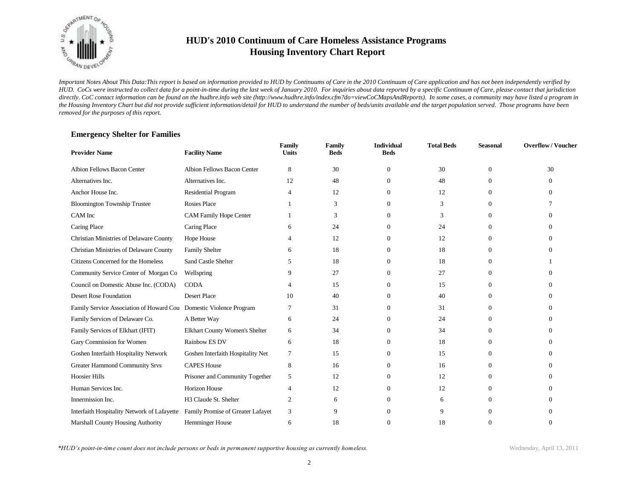

*Important Notes About This Data:This report is based on information provided to HUD by Continuums of Care in the 2010 Continuum of Care application and has not been independently verified by HUD. CoCs were instructed to collect data for a point-in-time during the last week of January 2010. For inquiries about data reported by a specific Continuum of Care, please contact that jurisdiction*  directly. CoC contact information can be found on the hudhre.info web site (http://www.hudhre.info/index.cfm?do=viewCoCMapsAndReports). In some cases, a community may have listed a program in *the Housing Inventory Chart but did not provide sufficient information/detail for HUD to understand the number of beds/units available and the target population served. Those programs have been removed for the purposes of this report.*

### **Emergency Shelter for Families**

| <b>Provider Name</b>                                               | <b>Facility Name</b>              | Family<br><b>Units</b> | <b>Family</b><br><b>Beds</b> | <b>Individual</b><br><b>Beds</b> | <b>Total Beds</b> | <b>Seasonal</b> | <b>Overflow/Voucher</b> |
|--------------------------------------------------------------------|-----------------------------------|------------------------|------------------------------|----------------------------------|-------------------|-----------------|-------------------------|
| Albion Fellows Bacon Center                                        | Albion Fellows Bacon Center       | 8                      | 30                           | $\mathbf{0}$                     | 30                | $\theta$        | 30                      |
| Alternatives Inc.                                                  | Alternatives Inc.                 | 12                     | 48                           | $\Omega$                         | 48                | $\Omega$        | 0                       |
| Anchor House Inc.                                                  | Residential Program               | 4                      | 12                           | $\Omega$                         | 12                | $\Omega$        | 0                       |
| <b>Bloomington Township Trustee</b>                                | <b>Rosies Place</b>               |                        | 3                            | $\Omega$                         | 3                 | $\Omega$        |                         |
| CAM Inc                                                            | <b>CAM Family Hope Center</b>     |                        | 3                            |                                  | 3                 | $\Omega$        |                         |
| Caring Place                                                       | Caring Place                      |                        | 24                           |                                  | 24                | $\Omega$        |                         |
| Christian Ministries of Delaware County                            | Hope House                        |                        | 12                           | 0                                | 12                | $\Omega$        |                         |
| Christian Ministries of Delaware County                            | <b>Family Shelter</b>             | h                      | 18                           | 0                                | 18                | $\Omega$        |                         |
| Citizens Concerned for the Homeless                                | <b>Sand Castle Shelter</b>        | <sup>1</sup>           | 18                           | 0                                | 18                | $\Omega$        |                         |
| Community Service Center of Morgan Co                              | Wellspring                        |                        | 27                           | $\Omega$                         | 27                | $\Omega$        |                         |
| Council on Domestic Abuse Inc. (CODA)                              | <b>CODA</b>                       |                        | 15                           | $^{0}$                           | 15                | $\Omega$        |                         |
| Desert Rose Foundation                                             | <b>Desert Place</b>               | 10                     | 40                           |                                  | 40                | $\Omega$        |                         |
| Family Service Association of Howard Cou Domestic Violence Program |                                   |                        | 31                           |                                  | 31                | $\Omega$        |                         |
| Family Services of Delaware Co.                                    | A Better Way                      | 6                      | 24                           |                                  | 24                | $\Omega$        |                         |
| Family Services of Elkhart (IFIT)                                  | Elkhart County Women's Shelter    | 6                      | 34                           | $\Omega$                         | 34                | $\Omega$        |                         |
| Gary Commission for Women                                          | Rainbow ES DV                     | 6                      | 18                           | $\Omega$                         | 18                | $\Omega$        |                         |
| Goshen Interfaith Hospitality Network                              | Goshen Interfaith Hospitality Net | 7                      | 15                           | $\Omega$                         | 15                | $\Omega$        |                         |
| <b>Greater Hammond Community Srvs</b>                              | <b>CAPES House</b>                | 8                      | 16                           | $\Omega$                         | 16                | $\Omega$        |                         |
| <b>Hoosier Hills</b>                                               | Prisoner and Community Together   | 5                      | 12                           | $\Omega$                         | 12                | $\Omega$        |                         |
| Human Services Inc.                                                | <b>Horizon House</b>              | 4                      | 12                           |                                  | 12                | $\Omega$        |                         |
| Innermission Inc.                                                  | H3 Claude St. Shelter             | 2                      | 6                            |                                  | 6                 | $\Omega$        |                         |
| Interfaith Hospitality Network of Lafayette                        | Family Promise of Greater Lafayet | 3                      | 9                            |                                  | 9                 | $\Omega$        |                         |
| <b>Marshall County Housing Authority</b>                           | Hemminger House                   | 6                      | 18                           |                                  | 18                | $\Omega$        |                         |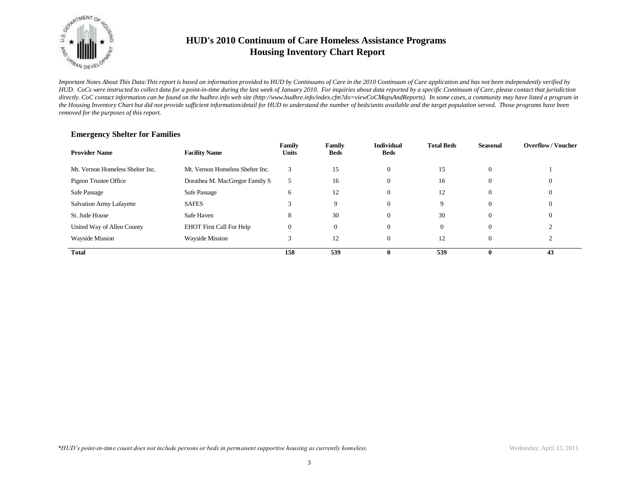

*Important Notes About This Data:This report is based on information provided to HUD by Continuums of Care in the 2010 Continuum of Care application and has not been independently verified by HUD. CoCs were instructed to collect data for a point-in-time during the last week of January 2010. For inquiries about data reported by a specific Continuum of Care, please contact that jurisdiction*  directly. CoC contact information can be found on the hudhre.info web site (http://www.hudhre.info/index.cfm?do=viewCoCMapsAndReports). In some cases, a community may have listed a program in *the Housing Inventory Chart but did not provide sufficient information/detail for HUD to understand the number of beds/units available and the target population served. Those programs have been removed for the purposes of this report.*

| <b>Provider Name</b>             | <b>Facility Name</b>             | Family<br><b>Units</b> | Family<br>Beds | <b>Individual</b><br><b>Beds</b> | <b>Total Beds</b> | <b>Seasonal</b> | <b>Overflow/Voucher</b> |
|----------------------------------|----------------------------------|------------------------|----------------|----------------------------------|-------------------|-----------------|-------------------------|
| Mt. Vernon Homeless Shelter Inc. | Mt. Vernon Homeless Shelter Inc. | 3                      | 15             | $\theta$                         | 15                | $\theta$        |                         |
| Pigeon Trustee Office            | Dorathea M. MacGregor Family S   | 5                      | 16             | $\theta$                         | 16                | $\theta$        | $\theta$                |
| Safe Passage                     | Safe Passage                     | 6                      | 12             | $\theta$                         | 12                | $\theta$        | $\theta$                |
| Salvation Army Lafayette         | <b>SAFES</b>                     | $\sim$                 | 9              | $\Omega$                         | 9                 | $\Omega$        | $\Omega$                |
| St. Jude House                   | Safe Haven                       | 8                      | 30             | $\Omega$                         | 30                | $\Omega$        | $\Omega$                |
| United Way of Allen County       | <b>EHOT First Call For Help</b>  | $\mathbf{0}$           | 0              | $\theta$                         | $\mathbf{0}$      | $\theta$        |                         |
| <b>Wayside Mission</b>           | <b>Wayside Mission</b>           | 3                      | 12             | $\theta$                         | 12                | $\overline{0}$  |                         |
| <b>Total</b>                     |                                  | 158                    | 539            | 0                                | 539               | 0               | 43                      |

#### **Emergency Shelter for Families**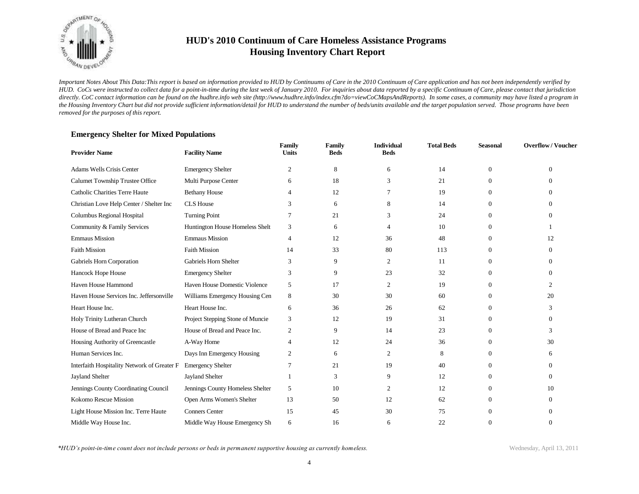

*Important Notes About This Data:This report is based on information provided to HUD by Continuums of Care in the 2010 Continuum of Care application and has not been independently verified by HUD. CoCs were instructed to collect data for a point-in-time during the last week of January 2010. For inquiries about data reported by a specific Continuum of Care, please contact that jurisdiction*  directly. CoC contact information can be found on the hudhre.info web site (http://www.hudhre.info/index.cfm?do=viewCoCMapsAndReports). In some cases, a community may have listed a program in *the Housing Inventory Chart but did not provide sufficient information/detail for HUD to understand the number of beds/units available and the target population served. Those programs have been removed for the purposes of this report.*

### **Emergency Shelter for Mixed Populations**

| <b>Provider Name</b>                        | <b>Facility Name</b>             | Family<br><b>Units</b> | <b>Family</b><br><b>Beds</b> | <b>Individual</b><br><b>Beds</b> | <b>Total Beds</b> | <b>Seasonal</b> | <b>Overflow/Voucher</b> |
|---------------------------------------------|----------------------------------|------------------------|------------------------------|----------------------------------|-------------------|-----------------|-------------------------|
| Adams Wells Crisis Center                   | <b>Emergency Shelter</b>         | $\overline{c}$         | 8                            | 6                                | 14                | $\mathbf{0}$    | $\mathbf{0}$            |
| Calumet Township Trustee Office             | Multi Purpose Center             | 6                      | 18                           | 3                                | 21                | $\Omega$        | $\Omega$                |
| Catholic Charities Terre Haute              | <b>Bethany House</b>             | 4                      | 12                           |                                  | 19                | $\overline{0}$  | 0                       |
| Christian Love Help Center / Shelter Inc    | <b>CLS</b> House                 | 3                      | 6                            | 8                                | 14                | $\Omega$        | $\Omega$                |
| Columbus Regional Hospital                  | <b>Turning Point</b>             |                        | 21                           | 3                                | 24                | $\overline{0}$  | $\Omega$                |
| Community & Family Services                 | Huntington House Homeless Shelt  | 3                      | 6                            | 4                                | 10                | $\Omega$        |                         |
| <b>Emmaus Mission</b>                       | <b>Emmaus Mission</b>            | $\overline{4}$         | 12                           | 36                               | 48                | $\theta$        | 12                      |
| <b>Faith Mission</b>                        | <b>Faith Mission</b>             | 14                     | 33                           | 80                               | 113               | $\Omega$        | $\Omega$                |
| Gabriels Horn Corporation                   | Gabriels Horn Shelter            | 3                      | 9                            | 2                                | 11                | $\Omega$        | 0                       |
| Hancock Hope House                          | <b>Emergency Shelter</b>         | 3                      | 9                            | 23                               | 32                | $\Omega$        | 0                       |
| Haven House Hammond                         | Haven House Domestic Violence    | 5                      | 17                           | 2                                | 19                | $\Omega$        | $\mathfrak{D}$          |
| Haven House Services Inc. Jeffersonville    | Williams Emergency Housing Cen   | 8                      | 30                           | 30                               | 60                | $\Omega$        | 20                      |
| Heart House Inc.                            | Heart House Inc.                 | 6                      | 36                           | 26                               | 62                | $\Omega$        | 3                       |
| Holy Trinity Lutheran Church                | Project Stepping Stone of Muncie | 3                      | 12                           | 19                               | 31                | $\Omega$        | $\Omega$                |
| House of Bread and Peace Inc                | House of Bread and Peace Inc.    | 2                      | 9                            | 14                               | 23                | $\Omega$        | 3                       |
| Housing Authority of Greencastle            | A-Way Home                       | $\overline{4}$         | 12                           | 24                               | 36                | $\Omega$        | 30                      |
| Human Services Inc.                         | Days Inn Emergency Housing       | 2                      | 6                            | 2                                | 8                 | $\Omega$        | 6                       |
| Interfaith Hospitality Network of Greater F | <b>Emergency Shelter</b>         | 7                      | 21                           | 19                               | 40                | $\Omega$        | 0                       |
| <b>Jayland Shelter</b>                      | Jayland Shelter                  |                        | 3                            | 9                                | 12                | $\Omega$        | $\Omega$                |
| Jennings County Coordinating Council        | Jennings County Homeless Shelter | 5                      | 10                           | 2                                | 12                | $\Omega$        | 10                      |
| Kokomo Rescue Mission                       | Open Arms Women's Shelter        | 13                     | 50                           | 12                               | 62                | $\Omega$        | $\Omega$                |
| Light House Mission Inc. Terre Haute        | <b>Conners Center</b>            | 15                     | 45                           | 30                               | 75                | $\Omega$        | 0                       |
| Middle Way House Inc.                       | Middle Way House Emergency Sh    | 6                      | 16                           | 6                                | 22                | $\Omega$        | $\Omega$                |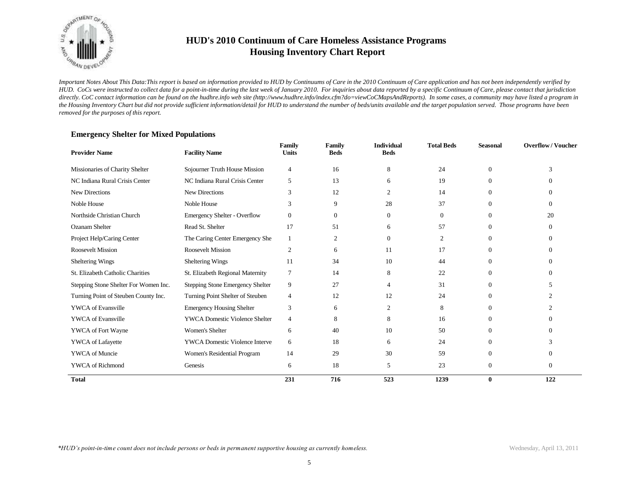

*Important Notes About This Data:This report is based on information provided to HUD by Continuums of Care in the 2010 Continuum of Care application and has not been independently verified by HUD. CoCs were instructed to collect data for a point-in-time during the last week of January 2010. For inquiries about data reported by a specific Continuum of Care, please contact that jurisdiction*  directly. CoC contact information can be found on the hudhre.info web site (http://www.hudhre.info/index.cfm?do=viewCoCMapsAndReports). In some cases, a community may have listed a program in *the Housing Inventory Chart but did not provide sufficient information/detail for HUD to understand the number of beds/units available and the target population served. Those programs have been removed for the purposes of this report.*

| <b>Provider Name</b>                  | <b>Facility Name</b>                  | Family<br><b>Units</b> | Family<br><b>Beds</b> | <b>Individual</b><br><b>Beds</b> | <b>Total Beds</b> | <b>Seasonal</b> | <b>Overflow/Voucher</b> |
|---------------------------------------|---------------------------------------|------------------------|-----------------------|----------------------------------|-------------------|-----------------|-------------------------|
| Missionaries of Charity Shelter       | Sojourner Truth House Mission         | 4                      | 16                    | 8                                | 24                | $\theta$        | 3                       |
| NC Indiana Rural Crisis Center        | NC Indiana Rural Crisis Center        | 5                      | 13                    | 6                                | 19                | $\Omega$        | 0                       |
| <b>New Directions</b>                 | <b>New Directions</b>                 | 3                      | 12                    | 2                                | 14                | $\Omega$        | $\Omega$                |
| Noble House                           | Noble House                           | 3                      | 9                     | 28                               | 37                | $\Omega$        | $\Omega$                |
| Northside Christian Church            | <b>Emergency Shelter - Overflow</b>   | $\Omega$               | $\Omega$              | $\Omega$                         | $\theta$          | $\Omega$        | 20                      |
| <b>Ozanam Shelter</b>                 | Read St. Shelter                      | 17                     | 51                    | 6                                | 57                | $\overline{0}$  | $\theta$                |
| Project Help/Caring Center            | The Caring Center Emergency She       | 1                      | 2                     | $\Omega$                         | 2                 | $\Omega$        | $\Omega$                |
| <b>Roosevelt Mission</b>              | <b>Roosevelt Mission</b>              | $\overline{c}$         | 6                     | 11                               | 17                | $\Omega$        | 0                       |
| Sheltering Wings                      | Sheltering Wings                      | 11                     | 34                    | 10                               | 44                | $\Omega$        | $\Omega$                |
| St. Elizabeth Catholic Charities      | St. Elizabeth Regional Maternity      | $\overline{7}$         | 14                    | 8                                | 22                | $\overline{0}$  | $\Omega$                |
| Stepping Stone Shelter For Women Inc. | Stepping Stone Emergency Shelter      | 9                      | 27                    | $\overline{4}$                   | 31                | $\theta$        | 5                       |
| Turning Point of Steuben County Inc.  | Turning Point Shelter of Steuben      | 4                      | 12                    | 12                               | 24                | $\Omega$        |                         |
| <b>YWCA</b> of Evansville             | <b>Emergency Housing Shelter</b>      | 3                      | 6                     | 2                                | 8                 | $\Omega$        |                         |
| <b>YWCA</b> of Evansville             | <b>YWCA Domestic Violence Shelter</b> | $\overline{4}$         | 8                     | 8                                | 16                | $\Omega$        | $\Omega$                |
| YWCA of Fort Wayne                    | Women's Shelter                       | 6                      | 40                    | 10                               | 50                | $\overline{0}$  | $\Omega$                |
| YWCA of Lafayette                     | <b>YWCA Domestic Violence Interve</b> | 6                      | 18                    | 6                                | 24                | $\Omega$        | 3                       |
| <b>YWCA</b> of Muncie                 | Women's Residential Program           | 14                     | 29                    | 30                               | 59                | $\theta$        | $\Omega$                |
| <b>YWCA</b> of Richmond               | Genesis                               | 6                      | 18                    | 5                                | 23                | $\theta$        | $\theta$                |
| <b>Total</b>                          |                                       | 231                    | 716                   | 523                              | 1239              | $\bf{0}$        | 122                     |

### **Emergency Shelter for Mixed Populations**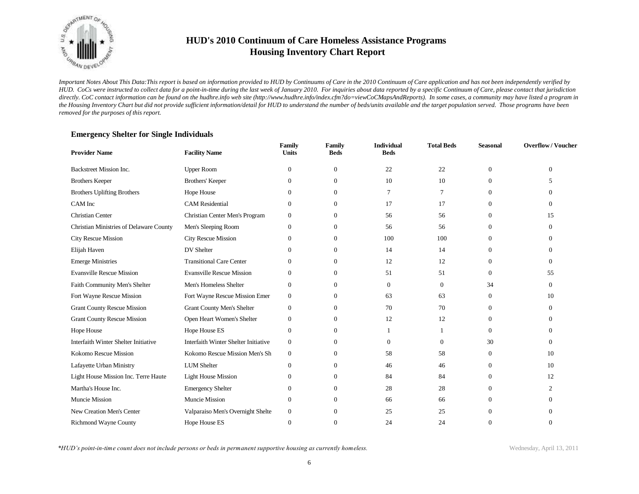

*Important Notes About This Data:This report is based on information provided to HUD by Continuums of Care in the 2010 Continuum of Care application and has not been independently verified by HUD. CoCs were instructed to collect data for a point-in-time during the last week of January 2010. For inquiries about data reported by a specific Continuum of Care, please contact that jurisdiction*  directly. CoC contact information can be found on the hudhre.info web site (http://www.hudhre.info/index.cfm?do=viewCoCMapsAndReports). In some cases, a community may have listed a program in *the Housing Inventory Chart but did not provide sufficient information/detail for HUD to understand the number of beds/units available and the target population served. Those programs have been removed for the purposes of this report.*

| <b>Provider Name</b>                    | <b>Facility Name</b>                 | Family<br><b>Units</b> | Family<br><b>Beds</b> | <b>Individual</b><br><b>Beds</b> | <b>Total Beds</b> | <b>Seasonal</b> | <b>Overflow/Voucher</b> |
|-----------------------------------------|--------------------------------------|------------------------|-----------------------|----------------------------------|-------------------|-----------------|-------------------------|
| Backstreet Mission Inc.                 | <b>Upper Room</b>                    | $\mathbf{0}$           | $\mathbf{0}$          | 22                               | 22                | $\overline{0}$  | $\Omega$                |
| <b>Brothers Keeper</b>                  | Brothers' Keeper                     | $\overline{0}$         | $\overline{0}$        | 10                               | 10                | $\Omega$        | 5                       |
| <b>Brothers Uplifting Brothers</b>      | Hope House                           | $\mathbf{0}$           | $\overline{0}$        | 7                                | 7                 | $\Omega$        | $\Omega$                |
| CAM Inc                                 | <b>CAM</b> Residential               | $\overline{0}$         | $\overline{0}$        | 17                               | 17                | $\mathbf{0}$    | $\Omega$                |
| <b>Christian Center</b>                 | Christian Center Men's Program       | $\mathbf{0}$           | $\Omega$              | 56                               | 56                | $\Omega$        | 15                      |
| Christian Ministries of Delaware County | Men's Sleeping Room                  | $\theta$               | $\overline{0}$        | 56                               | 56                | $\mathbf{0}$    | $\Omega$                |
| <b>City Rescue Mission</b>              | <b>City Rescue Mission</b>           | $\theta$               | $\overline{0}$        | 100                              | 100               | $\Omega$        | $\Omega$                |
| Elijah Haven                            | DV Shelter                           | $\Omega$               | $\overline{0}$        | 14                               | 14                | $\mathbf{0}$    | $\Omega$                |
| <b>Emerge Ministries</b>                | <b>Transitional Care Center</b>      | $\Omega$               | $\overline{0}$        | 12                               | 12                | $\Omega$        | $\Omega$                |
| <b>Evansville Rescue Mission</b>        | <b>Evansville Rescue Mission</b>     | $\Omega$               | $\overline{0}$        | 51                               | 51                | $\overline{0}$  | 55                      |
| Faith Community Men's Shelter           | Men's Homeless Shelter               | $\mathbf{0}$           | $\overline{0}$        | $\Omega$                         | $\Omega$          | 34              | $\Omega$                |
| Fort Wayne Rescue Mission               | Fort Wayne Rescue Mission Emer       | $\mathbf{0}$           | $\overline{0}$        | 63                               | 63                | $\overline{0}$  | 10                      |
| <b>Grant County Rescue Mission</b>      | <b>Grant County Men's Shelter</b>    | $\mathbf{0}$           | $\theta$              | 70                               | 70                | $\Omega$        | $\Omega$                |
| <b>Grant County Rescue Mission</b>      | Open Heart Women's Shelter           | $\mathbf{0}$           | $\overline{0}$        | 12                               | 12                | $\overline{0}$  | $\Omega$                |
| Hope House                              | Hope House ES                        | $\mathbf{0}$           | $\theta$              |                                  |                   | $\overline{0}$  | $\Omega$                |
| Interfaith Winter Shelter Initiative    | Interfaith Winter Shelter Initiative | $\mathbf{0}$           | $\overline{0}$        | $\mathbf{0}$                     | $\mathbf{0}$      | 30              | $\Omega$                |
| Kokomo Rescue Mission                   | Kokomo Rescue Mission Men's Sh       | $\boldsymbol{0}$       | $\theta$              | 58                               | 58                | $\mathbf{0}$    | 10                      |
| Lafayette Urban Ministry                | <b>LUM</b> Shelter                   | $\mathbf{0}$           | $\mathbf{0}$          | 46                               | 46                | 0               | 10                      |
| Light House Mission Inc. Terre Haute    | <b>Light House Mission</b>           | $\mathbf{0}$           | $\mathbf{0}$          | 84                               | 84                | $\overline{0}$  | 12                      |
| Martha's House Inc.                     | <b>Emergency Shelter</b>             | $\boldsymbol{0}$       | $\overline{0}$        | 28                               | 28                | $\overline{0}$  | 2                       |
| Muncie Mission                          | Muncie Mission                       | $\boldsymbol{0}$       | $\mathbf{0}$          | 66                               | 66                | $\Omega$        | $\Omega$                |
| New Creation Men's Center               | Valparaiso Men's Overnight Shelte    | $\mathbf{0}$           | $\mathbf{0}$          | 25                               | 25                | $\mathbf{0}$    | $\Omega$                |
| <b>Richmond Wayne County</b>            | Hope House ES                        | $\mathbf{0}$           | $\Omega$              | 24                               | 24                | $\Omega$        | $\Omega$                |

#### **Emergency Shelter for Single Individuals**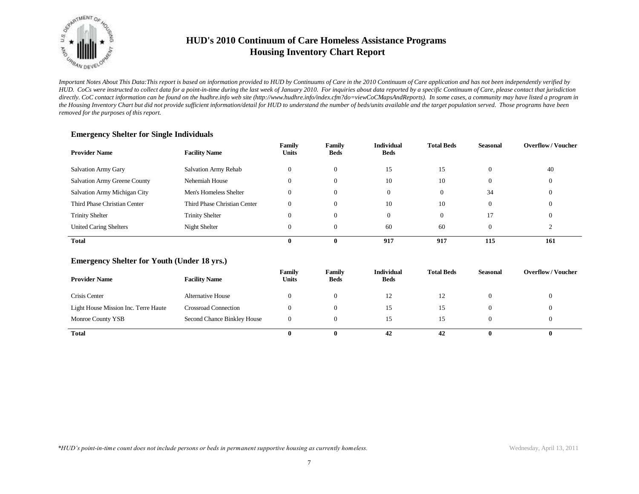

*Important Notes About This Data:This report is based on information provided to HUD by Continuums of Care in the 2010 Continuum of Care application and has not been independently verified by HUD. CoCs were instructed to collect data for a point-in-time during the last week of January 2010. For inquiries about data reported by a specific Continuum of Care, please contact that jurisdiction*  directly. CoC contact information can be found on the hudhre.info web site (http://www.hudhre.info/index.cfm?do=viewCoCMapsAndReports). In some cases, a community may have listed a program in *the Housing Inventory Chart but did not provide sufficient information/detail for HUD to understand the number of beds/units available and the target population served. Those programs have been removed for the purposes of this report.*

| <b>Provider Name</b>                | <b>Facility Name</b>         | Family<br><b>Units</b> | Family<br><b>Beds</b> | <b>Individual</b><br><b>Beds</b> | <b>Total Beds</b> | <b>Seasonal</b> | <b>Overflow/Voucher</b> |
|-------------------------------------|------------------------------|------------------------|-----------------------|----------------------------------|-------------------|-----------------|-------------------------|
| Salvation Army Gary                 | Salvation Army Rehab         | $\theta$               | $\mathbf{0}$          | 15                               | 15                |                 | 40                      |
| <b>Salvation Army Greene County</b> | Nehemiah House               | $\mathbf{0}$           | $\Omega$              | 10                               | 10                |                 | $\theta$                |
| Salvation Army Michigan City        | Men's Homeless Shelter       | $\theta$               | $\Omega$              | $\Omega$                         | $\mathbf{0}$      | 34              | 0                       |
| Third Phase Christian Center        | Third Phase Christian Center | $\Omega$               | $\Omega$              | 10                               | 10                |                 | $\theta$                |
| <b>Trinity Shelter</b>              | <b>Trinity Shelter</b>       | $\mathbf{0}$           | $\Omega$              | $\Omega$                         | $\mathbf{0}$      | 17              | $\Omega$                |
| <b>United Caring Shelters</b>       | Night Shelter                | $\mathbf{0}$           | $\Omega$              | 60                               | 60                |                 |                         |
| <b>Total</b>                        |                              | 0                      | 0                     | 917                              | 917               | 115             | 161                     |

### **Emergency Shelter for Single Individuals**

#### **Emergency Shelter for Youth (Under 18 yrs.)**

| <b>Provider Name</b>                 | <b>Facility Name</b>        | Family<br>Units | Family<br><b>Beds</b> | <b>Individual</b><br><b>Beds</b> | <b>Total Beds</b> | <b>Seasonal</b> | <b>Overflow/Voucher</b> |
|--------------------------------------|-----------------------------|-----------------|-----------------------|----------------------------------|-------------------|-----------------|-------------------------|
| Crisis Center                        | <b>Alternative House</b>    | 0               | $\theta$              | 12                               | 12                |                 |                         |
| Light House Mission Inc. Terre Haute | <b>Crossroad Connection</b> | 0               | $\theta$              | 15                               | 15                |                 |                         |
| Monroe County YSB                    | Second Chance Binkley House | 0               | $\theta$              | 15                               | 15                |                 |                         |
| <b>Total</b>                         |                             | 0               |                       | 42                               | 42                |                 | 0                       |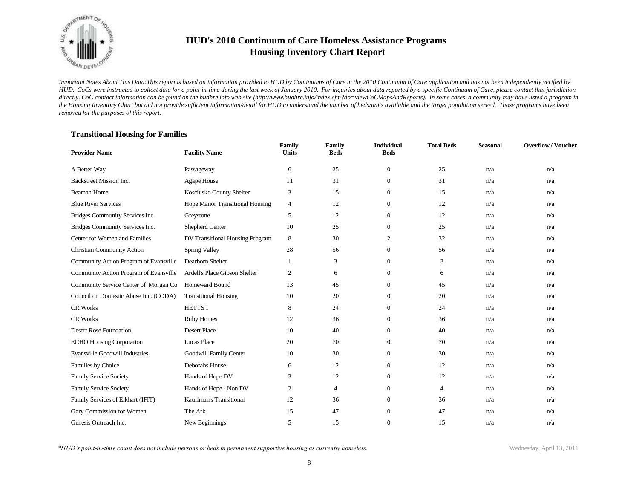

*Important Notes About This Data:This report is based on information provided to HUD by Continuums of Care in the 2010 Continuum of Care application and has not been independently verified by HUD. CoCs were instructed to collect data for a point-in-time during the last week of January 2010. For inquiries about data reported by a specific Continuum of Care, please contact that jurisdiction*  directly. CoC contact information can be found on the hudhre.info web site (http://www.hudhre.info/index.cfm?do=viewCoCMapsAndReports). In some cases, a community may have listed a program in *the Housing Inventory Chart but did not provide sufficient information/detail for HUD to understand the number of beds/units available and the target population served. Those programs have been removed for the purposes of this report.*

### **Transitional Housing for Families**

| <b>Provider Name</b>                   | <b>Facility Name</b>            | Family<br><b>Units</b> | Family<br><b>Beds</b> | <b>Individual</b><br><b>Beds</b> | <b>Total Beds</b> | <b>Seasonal</b> | <b>Overflow/Voucher</b> |
|----------------------------------------|---------------------------------|------------------------|-----------------------|----------------------------------|-------------------|-----------------|-------------------------|
| A Better Way                           | Passageway                      | 6                      | 25                    | $\mathbf{0}$                     | 25                | n/a             | n/a                     |
| Backstreet Mission Inc.                | Agape House                     | 11                     | 31                    | $\overline{0}$                   | 31                | n/a             | n/a                     |
| <b>Beaman Home</b>                     | Kosciusko County Shelter        | 3                      | 15                    | $\theta$                         | 15                | n/a             | n/a                     |
| <b>Blue River Services</b>             | Hope Manor Transitional Housing | $\overline{4}$         | 12                    | $\overline{0}$                   | 12                | n/a             | n/a                     |
| Bridges Community Services Inc.        | Greystone                       | 5                      | 12                    | $\overline{0}$                   | 12                | n/a             | n/a                     |
| Bridges Community Services Inc.        | Shepherd Center                 | 10                     | 25                    | $\overline{0}$                   | 25                | n/a             | n/a                     |
| Center for Women and Families          | DV Transitional Housing Program | 8                      | 30                    | 2                                | 32                | n/a             | n/a                     |
| <b>Christian Community Action</b>      | Spring Valley                   | 28                     | 56                    | $\overline{0}$                   | 56                | n/a             | n/a                     |
| Community Action Program of Evansville | Dearborn Shelter                |                        | 3                     | $\Omega$                         | 3                 | n/a             | n/a                     |
| Community Action Program of Evansville | Ardell's Place Gibson Shelter   | 2                      | 6                     | $\overline{0}$                   | 6                 | n/a             | n/a                     |
| Community Service Center of Morgan Co  | Homeward Bound                  | 13                     | 45                    | $\theta$                         | 45                | n/a             | n/a                     |
| Council on Domestic Abuse Inc. (CODA)  | <b>Transitional Housing</b>     | 10                     | 20                    | $\overline{0}$                   | 20                | n/a             | n/a                     |
| <b>CR Works</b>                        | <b>HETTSI</b>                   | 8                      | 24                    | $\theta$                         | 24                | n/a             | n/a                     |
| <b>CR Works</b>                        | Ruby Homes                      | 12                     | 36                    | $\overline{0}$                   | 36                | n/a             | n/a                     |
| Desert Rose Foundation                 | <b>Desert Place</b>             | 10                     | 40                    | $\overline{0}$                   | 40                | n/a             | n/a                     |
| <b>ECHO Housing Corporation</b>        | Lucas Place                     | 20                     | 70                    | $\overline{0}$                   | 70                | n/a             | n/a                     |
| <b>Evansville Goodwill Industries</b>  | Goodwill Family Center          | 10                     | 30                    | $\mathbf{0}$                     | 30                | n/a             | n/a                     |
| Families by Choice                     | Deborahs House                  | 6                      | 12                    | $\overline{0}$                   | 12                | n/a             | n/a                     |
| <b>Family Service Society</b>          | Hands of Hope DV                | 3                      | 12                    | $\mathbf{0}$                     | 12                | n/a             | n/a                     |
| Family Service Society                 | Hands of Hope - Non DV          | 2                      | 4                     | $\mathbf{0}$                     | $\overline{4}$    | n/a             | n/a                     |
| Family Services of Elkhart (IFIT)      | Kauffman's Transitional         | 12                     | 36                    | $\overline{0}$                   | 36                | n/a             | n/a                     |
| Gary Commission for Women              | The Ark                         | 15                     | 47                    | $\overline{0}$                   | 47                | n/a             | n/a                     |
| Genesis Outreach Inc.                  | New Beginnings                  | 5                      | 15                    | $\Omega$                         | 15                | n/a             | n/a                     |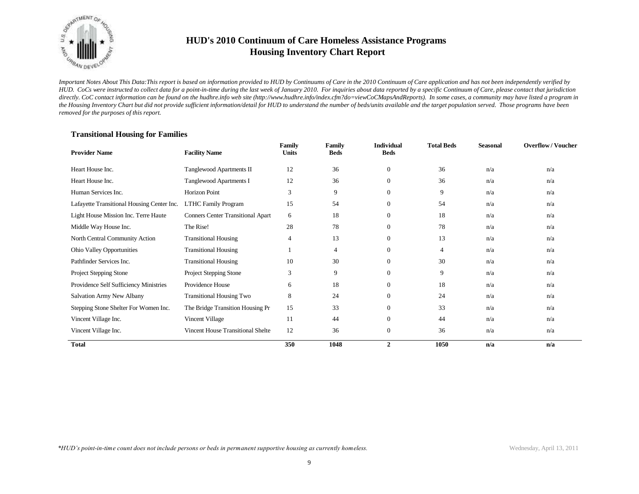

*Important Notes About This Data:This report is based on information provided to HUD by Continuums of Care in the 2010 Continuum of Care application and has not been independently verified by HUD. CoCs were instructed to collect data for a point-in-time during the last week of January 2010. For inquiries about data reported by a specific Continuum of Care, please contact that jurisdiction*  directly. CoC contact information can be found on the hudhre.info web site (http://www.hudhre.info/index.cfm?do=viewCoCMapsAndReports). In some cases, a community may have listed a program in *the Housing Inventory Chart but did not provide sufficient information/detail for HUD to understand the number of beds/units available and the target population served. Those programs have been removed for the purposes of this report.*

| <b>Provider Name</b>                       | <b>Facility Name</b>                     | Family<br><b>Units</b> | <b>Family</b><br><b>Beds</b> | <b>Individual</b><br><b>Beds</b> | <b>Total Beds</b> | <b>Seasonal</b> | <b>Overflow/Voucher</b> |
|--------------------------------------------|------------------------------------------|------------------------|------------------------------|----------------------------------|-------------------|-----------------|-------------------------|
| Heart House Inc.                           | Tanglewood Apartments II                 | 12                     | 36                           | $\overline{0}$                   | 36                | n/a             | n/a                     |
| Heart House Inc.                           | Tanglewood Apartments I                  | 12                     | 36                           | $\overline{0}$                   | 36                | n/a             | n/a                     |
| Human Services Inc.                        | Horizon Point                            | 3                      | 9                            | $\theta$                         | 9                 | n/a             | n/a                     |
| Lafayette Transitional Housing Center Inc. | <b>LTHC Family Program</b>               | 15                     | 54                           | $\overline{0}$                   | 54                | n/a             | n/a                     |
| Light House Mission Inc. Terre Haute       | <b>Conners Center Transitional Apart</b> | 6                      | 18                           | $\overline{0}$                   | 18                | n/a             | n/a                     |
| Middle Way House Inc.                      | The Rise!                                | 28                     | 78                           | $\overline{0}$                   | 78                | n/a             | n/a                     |
| North Central Community Action             | <b>Transitional Housing</b>              | 4                      | 13                           | $\overline{0}$                   | 13                | n/a             | n/a                     |
| <b>Ohio Valley Opportunities</b>           | <b>Transitional Housing</b>              |                        | 4                            | $\overline{0}$                   | $\overline{4}$    | n/a             | n/a                     |
| Pathfinder Services Inc.                   | <b>Transitional Housing</b>              | 10                     | 30                           | $\boldsymbol{0}$                 | 30                | n/a             | n/a                     |
| Project Stepping Stone                     | Project Stepping Stone                   | 3                      | 9                            | $\overline{0}$                   | 9                 | n/a             | n/a                     |
| Providence Self Sufficiency Ministries     | Providence House                         | 6                      | 18                           | $\mathbf{0}$                     | 18                | n/a             | n/a                     |
| Salvation Army New Albany                  | <b>Transitional Housing Two</b>          | 8                      | 24                           | $\overline{0}$                   | 24                | n/a             | n/a                     |
| Stepping Stone Shelter For Women Inc.      | The Bridge Transition Housing Pr         | 15                     | 33                           | $\overline{0}$                   | 33                | n/a             | n/a                     |
| Vincent Village Inc.                       | Vincent Village                          | 11                     | 44                           | $\overline{0}$                   | 44                | n/a             | n/a                     |
| Vincent Village Inc.                       | Vincent House Transitional Shelte        | 12                     | 36                           | $\theta$                         | 36                | n/a             | n/a                     |
| <b>Total</b>                               |                                          | 350                    | 1048                         | $\overline{2}$                   | 1050              | n/a             | n/a                     |

#### **Transitional Housing for Families**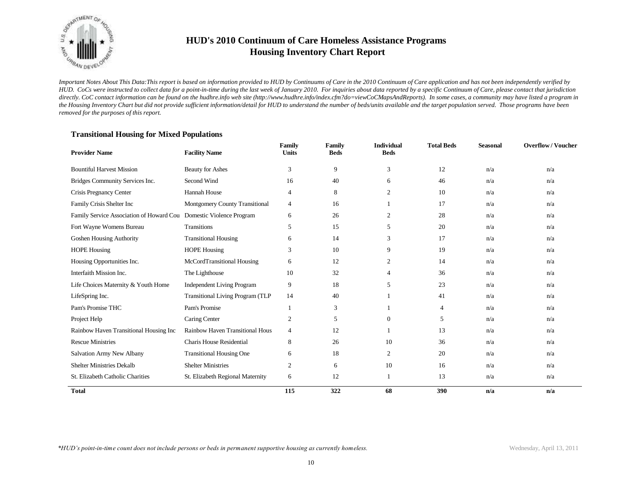

*Important Notes About This Data:This report is based on information provided to HUD by Continuums of Care in the 2010 Continuum of Care application and has not been independently verified by HUD. CoCs were instructed to collect data for a point-in-time during the last week of January 2010. For inquiries about data reported by a specific Continuum of Care, please contact that jurisdiction*  directly. CoC contact information can be found on the hudhre.info web site (http://www.hudhre.info/index.cfm?do=viewCoCMapsAndReports). In some cases, a community may have listed a program in *the Housing Inventory Chart but did not provide sufficient information/detail for HUD to understand the number of beds/units available and the target population served. Those programs have been removed for the purposes of this report.*

| <b>Provider Name</b>                                               | <b>Facility Name</b>                    | Family<br><b>Units</b> | Family<br><b>Beds</b> | <b>Individual</b><br><b>Beds</b> | <b>Total Beds</b> | <b>Seasonal</b> | <b>Overflow/Voucher</b> |
|--------------------------------------------------------------------|-----------------------------------------|------------------------|-----------------------|----------------------------------|-------------------|-----------------|-------------------------|
| <b>Bountiful Harvest Mission</b>                                   | <b>Beauty for Ashes</b>                 | 3                      | 9                     | 3                                | 12                | n/a             | n/a                     |
| Bridges Community Services Inc.                                    | Second Wind                             | 16                     | 40                    | 6                                | 46                | n/a             | n/a                     |
| Crisis Pregnancy Center                                            | Hannah House                            | $\overline{4}$         | 8                     | $\overline{2}$                   | 10                | n/a             | n/a                     |
| Family Crisis Shelter Inc                                          | Montgomery County Transitional          | $\overline{4}$         | 16                    |                                  | 17                | n/a             | n/a                     |
| Family Service Association of Howard Cou Domestic Violence Program |                                         | 6                      | 26                    | 2                                | 28                | n/a             | n/a                     |
| Fort Wayne Womens Bureau                                           | <b>Transitions</b>                      | 5                      | 15                    | 5                                | 20                | n/a             | n/a                     |
| Goshen Housing Authority                                           | <b>Transitional Housing</b>             | 6                      | 14                    | 3                                | 17                | n/a             | n/a                     |
| <b>HOPE Housing</b>                                                | <b>HOPE Housing</b>                     | 3                      | 10                    | 9                                | 19                | n/a             | n/a                     |
| Housing Opportunities Inc.                                         | McCordTransitional Housing              | 6                      | 12                    | 2                                | 14                | n/a             | n/a                     |
| Interfaith Mission Inc.                                            | The Lighthouse                          | 10                     | 32                    | $\overline{4}$                   | 36                | n/a             | n/a                     |
| Life Choices Maternity & Youth Home                                | <b>Independent Living Program</b>       | 9                      | 18                    | 5                                | 23                | n/a             | n/a                     |
| LifeSpring Inc.                                                    | <b>Transitional Living Program (TLP</b> | 14                     | 40                    |                                  | 41                | n/a             | n/a                     |
| Pam's Promise THC                                                  | Pam's Promise                           |                        | 3                     |                                  | $\overline{4}$    | n/a             | n/a                     |
| Project Help                                                       | Caring Center                           | 2                      | 5                     | $\theta$                         | 5                 | n/a             | n/a                     |
| Rainbow Haven Transitional Housing Inc                             | Rainbow Haven Transitional Hous         | $\overline{4}$         | 12                    |                                  | 13                | n/a             | n/a                     |
| <b>Rescue Ministries</b>                                           | <b>Charis House Residential</b>         | 8                      | 26                    | 10                               | 36                | n/a             | n/a                     |
| Salvation Army New Albany                                          | <b>Transitional Housing One</b>         | 6                      | 18                    | 2                                | 20                | n/a             | n/a                     |
| <b>Shelter Ministries Dekalb</b>                                   | <b>Shelter Ministries</b>               | 2                      | 6                     | 10                               | 16                | n/a             | n/a                     |
| St. Elizabeth Catholic Charities                                   | St. Elizabeth Regional Maternity        | 6                      | 12                    | $\mathbf{1}$                     | 13                | n/a             | n/a                     |
| <b>Total</b>                                                       |                                         | 115                    | 322                   | 68                               | 390               | n/a             | n/a                     |

### **Transitional Housing for Mixed Populations**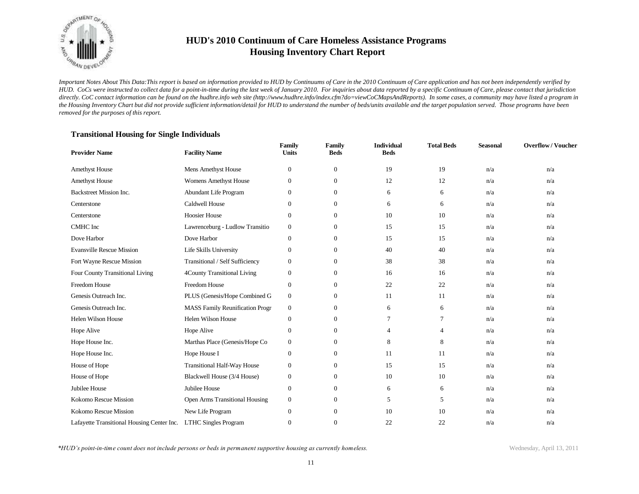

*Important Notes About This Data:This report is based on information provided to HUD by Continuums of Care in the 2010 Continuum of Care application and has not been independently verified by HUD. CoCs were instructed to collect data for a point-in-time during the last week of January 2010. For inquiries about data reported by a specific Continuum of Care, please contact that jurisdiction*  directly. CoC contact information can be found on the hudhre.info web site (http://www.hudhre.info/index.cfm?do=viewCoCMapsAndReports). In some cases, a community may have listed a program in *the Housing Inventory Chart but did not provide sufficient information/detail for HUD to understand the number of beds/units available and the target population served. Those programs have been removed for the purposes of this report.*

### **Transitional Housing for Single Individuals**

| <b>Provider Name</b>                       | <b>Facility Name</b>                   | Family<br><b>Units</b> | Family<br><b>Beds</b> | <b>Individual</b><br><b>Beds</b> | <b>Total Beds</b> | <b>Seasonal</b> | <b>Overflow/Voucher</b> |
|--------------------------------------------|----------------------------------------|------------------------|-----------------------|----------------------------------|-------------------|-----------------|-------------------------|
| <b>Amethyst House</b>                      | Mens Amethyst House                    | $\boldsymbol{0}$       | $\mathbf{0}$          | 19                               | 19                | n/a             | n/a                     |
| <b>Amethyst House</b>                      | <b>Womens Amethyst House</b>           | $\mathbf{0}$           | $\mathbf{0}$          | 12                               | 12                | n/a             | n/a                     |
| <b>Backstreet Mission Inc.</b>             | Abundant Life Program                  | $\mathbf{0}$           | $\mathbf{0}$          | 6                                | 6                 | n/a             | n/a                     |
| Centerstone                                | <b>Caldwell House</b>                  | $\boldsymbol{0}$       | $\mathbf{0}$          | 6                                | 6                 | n/a             | n/a                     |
| Centerstone                                | <b>Hoosier House</b>                   | $\mathbf{0}$           | $\mathbf{0}$          | 10                               | 10                | n/a             | n/a                     |
| CMHC Inc                                   | Lawrenceburg - Ludlow Transitio        | $\boldsymbol{0}$       | $\mathbf{0}$          | 15                               | 15                | n/a             | n/a                     |
| Dove Harbor                                | Dove Harbor                            | $\mathbf{0}$           | $\mathbf{0}$          | 15                               | 15                | n/a             | n/a                     |
| <b>Evansville Rescue Mission</b>           | Life Skills University                 | $\mathbf{0}$           | $\mathbf{0}$          | 40                               | 40                | n/a             | n/a                     |
| Fort Wayne Rescue Mission                  | Transitional / Self Sufficiency        | $\mathbf{0}$           | $\overline{0}$        | 38                               | 38                | n/a             | n/a                     |
| Four County Transitional Living            | 4County Transitional Living            | $\boldsymbol{0}$       | $\boldsymbol{0}$      | 16                               | 16                | n/a             | n/a                     |
| Freedom House                              | <b>Freedom House</b>                   | $\boldsymbol{0}$       | $\overline{0}$        | 22                               | 22                | n/a             | n/a                     |
| Genesis Outreach Inc.                      | PLUS (Genesis/Hope Combined G          | $\boldsymbol{0}$       | $\overline{0}$        | 11                               | 11                | n/a             | n/a                     |
| Genesis Outreach Inc.                      | <b>MASS Family Reunification Progr</b> | $\boldsymbol{0}$       | $\overline{0}$        | 6                                | 6                 | n/a             | n/a                     |
| <b>Helen Wilson House</b>                  | <b>Helen Wilson House</b>              | $\mathbf{0}$           | $\mathbf{0}$          | 7                                | $\overline{7}$    | n/a             | n/a                     |
| Hope Alive                                 | Hope Alive                             | $\boldsymbol{0}$       | $\mathbf{0}$          | $\overline{4}$                   | $\overline{4}$    | n/a             | n/a                     |
| Hope House Inc.                            | Marthas Place (Genesis/Hope Co         | $\boldsymbol{0}$       | $\boldsymbol{0}$      | 8                                | 8                 | n/a             | n/a                     |
| Hope House Inc.                            | Hope House I                           | $\boldsymbol{0}$       | $\overline{0}$        | 11                               | 11                | n/a             | n/a                     |
| House of Hope                              | Transitional Half-Way House            | $\mathbf{0}$           | $\mathbf{0}$          | 15                               | 15                | n/a             | n/a                     |
| House of Hope                              | Blackwell House (3/4 House)            | $\boldsymbol{0}$       | $\mathbf{0}$          | 10                               | 10                | n/a             | n/a                     |
| Jubilee House                              | Jubilee House                          | $\mathbf{0}$           | $\mathbf{0}$          | 6                                | 6                 | n/a             | n/a                     |
| Kokomo Rescue Mission                      | Open Arms Transitional Housing         | $\boldsymbol{0}$       | $\mathbf{0}$          | 5                                | 5                 | n/a             | n/a                     |
| Kokomo Rescue Mission                      | New Life Program                       | $\boldsymbol{0}$       | $\mathbf{0}$          | 10                               | 10                | n/a             | n/a                     |
| Lafayette Transitional Housing Center Inc. | <b>LTHC Singles Program</b>            | $\mathbf{0}$           | $\mathbf{0}$          | 22                               | 22                | n/a             | n/a                     |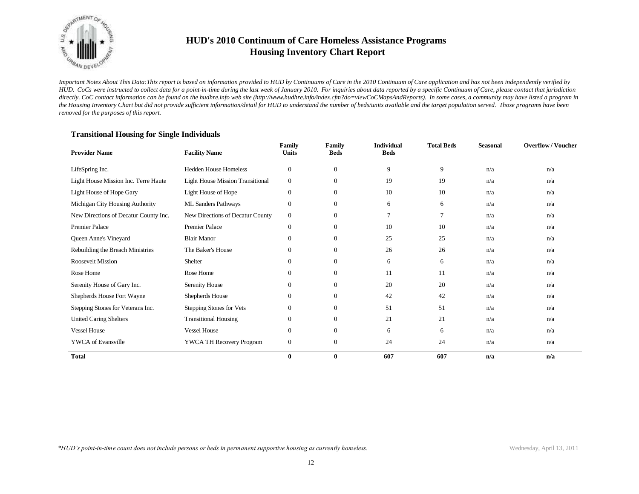

*Important Notes About This Data:This report is based on information provided to HUD by Continuums of Care in the 2010 Continuum of Care application and has not been independently verified by HUD. CoCs were instructed to collect data for a point-in-time during the last week of January 2010. For inquiries about data reported by a specific Continuum of Care, please contact that jurisdiction*  directly. CoC contact information can be found on the hudhre.info web site (http://www.hudhre.info/index.cfm?do=viewCoCMapsAndReports). In some cases, a community may have listed a program in *the Housing Inventory Chart but did not provide sufficient information/detail for HUD to understand the number of beds/units available and the target population served. Those programs have been removed for the purposes of this report.*

| <b>Provider Name</b>                  | <b>Facility Name</b>                    | Family<br><b>Units</b> | Family<br><b>Beds</b> | <b>Individual</b><br><b>Beds</b> | <b>Total Beds</b> | <b>Seasonal</b> | <b>Overflow/Voucher</b> |
|---------------------------------------|-----------------------------------------|------------------------|-----------------------|----------------------------------|-------------------|-----------------|-------------------------|
| LifeSpring Inc.                       | <b>Hedden House Homeless</b>            | $\mathbf{0}$           | $\mathbf{0}$          | 9                                | 9                 | n/a             | n/a                     |
| Light House Mission Inc. Terre Haute  | <b>Light House Mission Transitional</b> | $\mathbf{0}$           | $\mathbf{0}$          | 19                               | 19                | n/a             | n/a                     |
| Light House of Hope Gary              | Light House of Hope                     | $\mathbf{0}$           | $\mathbf{0}$          | 10                               | 10                | n/a             | n/a                     |
| Michigan City Housing Authority       | ML Sanders Pathways                     | $\mathbf{0}$           | $\boldsymbol{0}$      | 6                                | 6                 | n/a             | n/a                     |
| New Directions of Decatur County Inc. | New Directions of Decatur County        | $\mathbf{0}$           | $\mathbf{0}$          | 7                                | 7                 | n/a             | n/a                     |
| <b>Premier Palace</b>                 | <b>Premier Palace</b>                   | $\mathbf{0}$           | $\mathbf{0}$          | 10                               | 10                | n/a             | n/a                     |
| Queen Anne's Vineyard                 | <b>Blair Manor</b>                      | $\mathbf{0}$           | $\mathbf{0}$          | 25                               | 25                | n/a             | n/a                     |
| Rebuilding the Breach Ministries      | The Baker's House                       | $\mathbf{0}$           | $\mathbf{0}$          | 26                               | 26                | n/a             | n/a                     |
| <b>Roosevelt Mission</b>              | Shelter                                 | $\mathbf{0}$           | $\mathbf{0}$          | 6                                | 6                 | n/a             | n/a                     |
| Rose Home                             | Rose Home                               | $\theta$               | $\mathbf{0}$          | 11                               | 11                | n/a             | n/a                     |
| Serenity House of Gary Inc.           | Serenity House                          | $\mathbf{0}$           | $\mathbf{0}$          | 20                               | 20                | n/a             | n/a                     |
| Shepherds House Fort Wayne            | Shepherds House                         | $\mathbf{0}$           | $\mathbf{0}$          | 42                               | 42                | n/a             | n/a                     |
| Stepping Stones for Veterans Inc.     | Stepping Stones for Vets                | $\mathbf{0}$           | $\overline{0}$        | 51                               | 51                | n/a             | n/a                     |
| <b>United Caring Shelters</b>         | <b>Transitional Housing</b>             | $\mathbf{0}$           | $\mathbf{0}$          | 21                               | 21                | n/a             | n/a                     |
| <b>Vessel House</b>                   | <b>Vessel House</b>                     | $\mathbf{0}$           | $\overline{0}$        | 6                                | 6                 | n/a             | n/a                     |
| <b>YWCA</b> of Evansville             | YWCA TH Recovery Program                | $\boldsymbol{0}$       | $\mathbf{0}$          | 24                               | 24                | n/a             | n/a                     |
| <b>Total</b>                          |                                         | $\bf{0}$               | $\bf{0}$              | 607                              | 607               | n/a             | n/a                     |

#### **Transitional Housing for Single Individuals**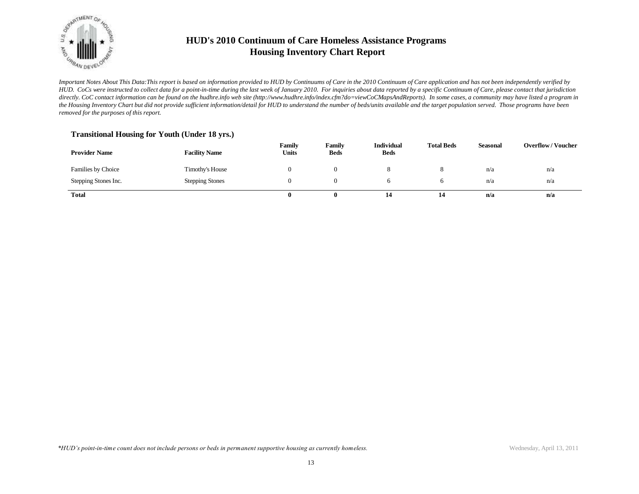

*Important Notes About This Data:This report is based on information provided to HUD by Continuums of Care in the 2010 Continuum of Care application and has not been independently verified by HUD. CoCs were instructed to collect data for a point-in-time during the last week of January 2010. For inquiries about data reported by a specific Continuum of Care, please contact that jurisdiction*  directly. CoC contact information can be found on the hudhre.info web site (http://www.hudhre.info/index.cfm?do=viewCoCMapsAndReports). In some cases, a community may have listed a program in *the Housing Inventory Chart but did not provide sufficient information/detail for HUD to understand the number of beds/units available and the target population served. Those programs have been removed for the purposes of this report.*

### **Transitional Housing for Youth (Under 18 yrs.)**

| <b>Provider Name</b> | <b>Facility Name</b>   | Family<br><b>Units</b> | Family<br><b>Beds</b> | <b>Individual</b><br><b>Beds</b> | <b>Total Beds</b> | <b>Seasonal</b> | <b>Overflow/Voucher</b> |
|----------------------|------------------------|------------------------|-----------------------|----------------------------------|-------------------|-----------------|-------------------------|
| Families by Choice   | Timothy's House        |                        |                       |                                  |                   | n/a             | n/a                     |
| Stepping Stones Inc. | <b>Stepping Stones</b> |                        |                       |                                  |                   | n/a             | n/a                     |
| <b>Total</b>         |                        |                        |                       | 14                               | 14                | n/a             | n/a                     |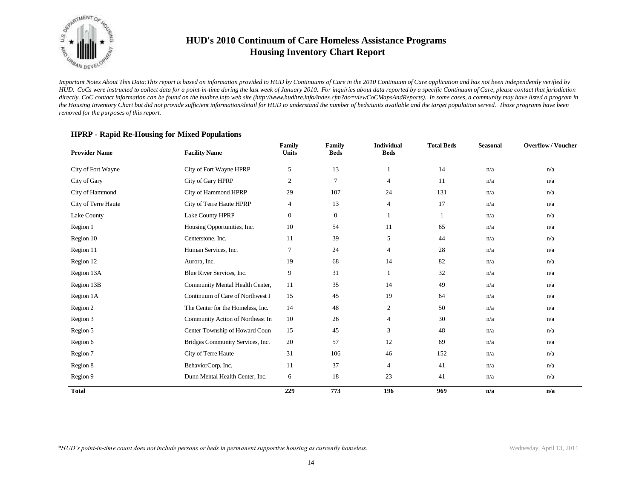

*Important Notes About This Data:This report is based on information provided to HUD by Continuums of Care in the 2010 Continuum of Care application and has not been independently verified by HUD. CoCs were instructed to collect data for a point-in-time during the last week of January 2010. For inquiries about data reported by a specific Continuum of Care, please contact that jurisdiction*  directly. CoC contact information can be found on the hudhre.info web site (http://www.hudhre.info/index.cfm?do=viewCoCMapsAndReports). In some cases, a community may have listed a program in *the Housing Inventory Chart but did not provide sufficient information/detail for HUD to understand the number of beds/units available and the target population served. Those programs have been removed for the purposes of this report.*

### **HPRP - Rapid Re-Housing for Mixed Populations**

| <b>Provider Name</b> | <b>Facility Name</b>              | Family<br><b>Units</b> | <b>Family</b><br><b>Beds</b> | <b>Individual</b><br><b>Beds</b> | <b>Total Beds</b> | <b>Seasonal</b> | <b>Overflow/Voucher</b> |
|----------------------|-----------------------------------|------------------------|------------------------------|----------------------------------|-------------------|-----------------|-------------------------|
| City of Fort Wayne   | City of Fort Wayne HPRP           | $\sqrt{5}$             | 13                           |                                  | 14                | n/a             | n/a                     |
| City of Gary         | City of Gary HPRP                 | $\overline{c}$         | 7                            | $\overline{4}$                   | 11                | n/a             | n/a                     |
| City of Hammond      | City of Hammond HPRP              | 29                     | 107                          | 24                               | 131               | n/a             | n/a                     |
| City of Terre Haute  | City of Terre Haute HPRP          | 4                      | 13                           | $\overline{4}$                   | 17                | n/a             | n/a                     |
| Lake County          | Lake County HPRP                  | $\boldsymbol{0}$       | $\mathbf{0}$                 |                                  |                   | n/a             | n/a                     |
| Region 1             | Housing Opportunities, Inc.       | 10                     | 54                           | 11                               | 65                | n/a             | n/a                     |
| Region 10            | Centerstone, Inc.                 | 11                     | 39                           | 5                                | 44                | n/a             | n/a                     |
| Region 11            | Human Services, Inc.              | $\tau$                 | 24                           | $\overline{4}$                   | 28                | n/a             | n/a                     |
| Region 12            | Aurora, Inc.                      | 19                     | 68                           | 14                               | 82                | n/a             | n/a                     |
| Region 13A           | Blue River Services, Inc.         | 9                      | 31                           | 1                                | 32                | n/a             | n/a                     |
| Region 13B           | Community Mental Health Center,   | 11                     | 35                           | 14                               | 49                | n/a             | n/a                     |
| Region 1A            | Continuum of Care of Northwest I  | 15                     | 45                           | 19                               | 64                | n/a             | n/a                     |
| Region 2             | The Center for the Homeless, Inc. | 14                     | 48                           | $\mathbf{2}$                     | 50                | n/a             | n/a                     |
| Region 3             | Community Action of Northeast In  | 10                     | 26                           | $\overline{4}$                   | 30                | n/a             | n/a                     |
| Region 5             | Center Township of Howard Coun    | 15                     | 45                           | 3                                | 48                | n/a             | n/a                     |
| Region 6             | Bridges Community Services, Inc.  | 20                     | 57                           | 12                               | 69                | n/a             | n/a                     |
| Region 7             | City of Terre Haute               | 31                     | 106                          | 46                               | 152               | n/a             | n/a                     |
| Region 8             | BehaviorCorp, Inc.                | 11                     | 37                           | $\overline{4}$                   | 41                | n/a             | n/a                     |
| Region 9             | Dunn Mental Health Center, Inc.   | 6                      | 18                           | 23                               | 41                | n/a             | n/a                     |
| <b>Total</b>         |                                   | 229                    | 773                          | 196                              | 969               | n/a             | n/a                     |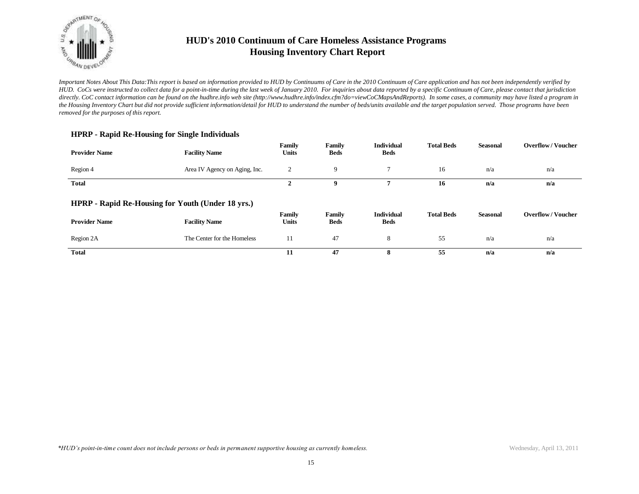

*Important Notes About This Data:This report is based on information provided to HUD by Continuums of Care in the 2010 Continuum of Care application and has not been independently verified by HUD. CoCs were instructed to collect data for a point-in-time during the last week of January 2010. For inquiries about data reported by a specific Continuum of Care, please contact that jurisdiction*  directly. CoC contact information can be found on the hudhre.info web site (http://www.hudhre.info/index.cfm?do=viewCoCMapsAndReports). In some cases, a community may have listed a program in *the Housing Inventory Chart but did not provide sufficient information/detail for HUD to understand the number of beds/units available and the target population served. Those programs have been removed for the purposes of this report.*

### **HPRP - Rapid Re-Housing for Single Individuals**

| <b>Provider Name</b> | <b>Facility Name</b>                              | Family<br><b>Units</b> | Family<br><b>Beds</b> | <b>Individual</b><br><b>Beds</b> | <b>Total Beds</b> | <b>Seasonal</b> | <b>Overflow/Voucher</b> |
|----------------------|---------------------------------------------------|------------------------|-----------------------|----------------------------------|-------------------|-----------------|-------------------------|
| Region 4             | Area IV Agency on Aging, Inc.                     | 2                      | 9                     | $\mathcal{L}$                    | 16                | n/a             | n/a                     |
| <b>Total</b>         |                                                   | $\overline{2}$         | 9                     | 7                                | 16                | n/a             | n/a                     |
|                      | HPRP - Rapid Re-Housing for Youth (Under 18 yrs.) |                        |                       |                                  |                   |                 |                         |
| <b>Provider Name</b> | <b>Facility Name</b>                              | Family<br>Units        | Family<br><b>Beds</b> | <b>Individual</b><br><b>Beds</b> | <b>Total Beds</b> | <b>Seasonal</b> | <b>Overflow/Voucher</b> |
| Region 2A            | The Center for the Homeless                       | 11                     | 47                    | 8                                | 55                | n/a             | n/a                     |
| <b>Total</b>         |                                                   | 11                     | 47                    | 8                                | 55                | n/a             | n/a                     |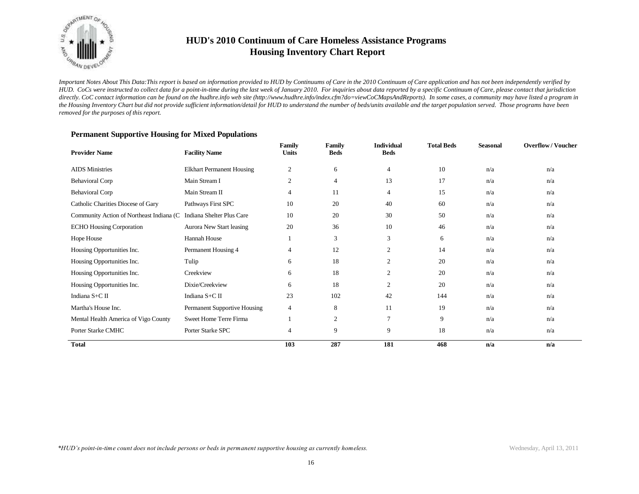

*Important Notes About This Data:This report is based on information provided to HUD by Continuums of Care in the 2010 Continuum of Care application and has not been independently verified by HUD. CoCs were instructed to collect data for a point-in-time during the last week of January 2010. For inquiries about data reported by a specific Continuum of Care, please contact that jurisdiction*  directly. CoC contact information can be found on the hudhre.info web site (http://www.hudhre.info/index.cfm?do=viewCoCMapsAndReports). In some cases, a community may have listed a program in *the Housing Inventory Chart but did not provide sufficient information/detail for HUD to understand the number of beds/units available and the target population served. Those programs have been removed for the purposes of this report.*

| <b>Provider Name</b>                      | <b>Facility Name</b>             | Family<br><b>Units</b> | Family<br><b>Beds</b> | <b>Individual</b><br><b>Beds</b> | <b>Total Beds</b> | <b>Seasonal</b> | <b>Overflow/Voucher</b> |
|-------------------------------------------|----------------------------------|------------------------|-----------------------|----------------------------------|-------------------|-----------------|-------------------------|
| <b>AIDS</b> Ministries                    | <b>Elkhart Permanent Housing</b> | $\overline{c}$         | 6                     | $\overline{4}$                   | 10                | n/a             | n/a                     |
| <b>Behavioral Corp</b>                    | Main Stream I                    | $\mathfrak{2}$         | $\overline{4}$        | 13                               | 17                | n/a             | n/a                     |
| <b>Behavioral Corp</b>                    | Main Stream II                   | 4                      | 11                    | $\overline{4}$                   | 15                | n/a             | n/a                     |
| Catholic Charities Diocese of Gary        | Pathways First SPC               | 10                     | 20                    | 40                               | 60                | n/a             | n/a                     |
| Community Action of Northeast Indiana (C) | Indiana Shelter Plus Care        | 10                     | 20                    | 30                               | 50                | n/a             | n/a                     |
| <b>ECHO Housing Corporation</b>           | Aurora New Start leasing         | 20                     | 36                    | 10                               | 46                | n/a             | n/a                     |
| Hope House                                | Hannah House                     |                        | 3                     | 3                                | 6                 | n/a             | n/a                     |
| Housing Opportunities Inc.                | Permanent Housing 4              | 4                      | 12                    | 2                                | 14                | n/a             | n/a                     |
| Housing Opportunities Inc.                | Tulip                            | 6                      | 18                    | 2                                | 20                | n/a             | n/a                     |
| Housing Opportunities Inc.                | Creekview                        | 6                      | 18                    | $\overline{2}$                   | 20                | n/a             | n/a                     |
| Housing Opportunities Inc.                | Dixie/Creekview                  | 6                      | 18                    | $\overline{2}$                   | 20                | n/a             | n/a                     |
| Indiana S+C II                            | Indiana S+C II                   | 23                     | 102                   | 42                               | 144               | n/a             | n/a                     |
| Martha's House Inc.                       | Permanent Supportive Housing     | $\overline{4}$         | 8                     | 11                               | 19                | n/a             | n/a                     |
| Mental Health America of Vigo County      | Sweet Home Terre Firma           |                        | 2                     | $\overline{7}$                   | 9                 | n/a             | n/a                     |
| Porter Starke CMHC                        | Porter Starke SPC                | 4                      | 9                     | 9                                | 18                | n/a             | n/a                     |
| <b>Total</b>                              |                                  | 103                    | 287                   | 181                              | 468               | n/a             | n/a                     |

#### **Permanent Supportive Housing for Mixed Populations**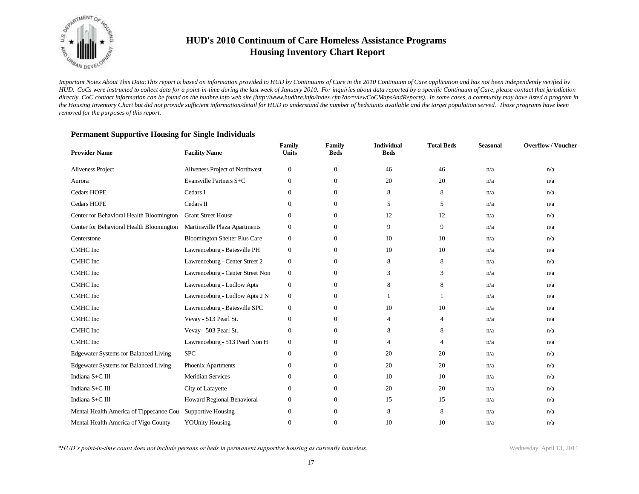

*Important Notes About This Data:This report is based on information provided to HUD by Continuums of Care in the 2010 Continuum of Care application and has not been independently verified by HUD. CoCs were instructed to collect data for a point-in-time during the last week of January 2010. For inquiries about data reported by a specific Continuum of Care, please contact that jurisdiction*  directly. CoC contact information can be found on the hudhre.info web site (http://www.hudhre.info/index.cfm?do=viewCoCMapsAndReports). In some cases, a community may have listed a program in *the Housing Inventory Chart but did not provide sufficient information/detail for HUD to understand the number of beds/units available and the target population served. Those programs have been removed for the purposes of this report.*

| <b>Provider Name</b>                         | <b>Facility Name</b>                 | Family<br><b>Units</b> | Family<br><b>Beds</b> | <b>Individual</b><br><b>Beds</b> | <b>Total Beds</b> | <b>Seasonal</b> | <b>Overflow/Voucher</b> |
|----------------------------------------------|--------------------------------------|------------------------|-----------------------|----------------------------------|-------------------|-----------------|-------------------------|
| Aliveness Project                            | Aliveness Project of Northwest       | $\boldsymbol{0}$       | $\mathbf{0}$          | 46                               | 46                | n/a             | n/a                     |
| Aurora                                       | Evansville Partners S+C              | $\mathbf{0}$           | $\mathbf{0}$          | 20                               | 20                | n/a             | n/a                     |
| Cedars HOPE                                  | Cedars I                             | $\mathbf{0}$           | $\mathbf{0}$          | 8                                | 8                 | n/a             | n/a                     |
| <b>Cedars HOPE</b>                           | Cedars II                            | $\mathbf{0}$           | $\mathbf{0}$          | 5                                | 5                 | n/a             | n/a                     |
| Center for Behavioral Health Bloomington     | <b>Grant Street House</b>            | $\mathbf{0}$           | $\mathbf{0}$          | 12                               | 12                | n/a             | n/a                     |
| Center for Behavioral Health Bloomington     | Martinsville Plaza Apartments        | $\mathbf{0}$           | $\mathbf{0}$          | 9                                | 9                 | n/a             | n/a                     |
| Centerstone                                  | <b>Bloomington Shelter Plus Care</b> | $\boldsymbol{0}$       | $\mathbf{0}$          | 10                               | 10                | n/a             | n/a                     |
| CMHC Inc                                     | Lawrenceburg - Batesville PH         | $\mathbf{0}$           | $\mathbf{0}$          | 10                               | 10                | n/a             | n/a                     |
| CMHC Inc                                     | Lawrenceburg - Center Street 2       | $\mathbf{0}$           | $\mathbf{0}$          | 8                                | 8                 | n/a             | n/a                     |
| CMHC Inc                                     | Lawrenceburg - Center Street Non     | $\mathbf{0}$           | $\mathbf{0}$          | 3                                | 3                 | n/a             | n/a                     |
| <b>CMHC</b> Inc                              | Lawrenceburg - Ludlow Apts           | $\mathbf{0}$           | $\mathbf{0}$          | 8                                | 8                 | n/a             | n/a                     |
| <b>CMHC</b> Inc                              | Lawrenceburg - Ludlow Apts 2 N       | $\mathbf{0}$           | $\mathbf{0}$          | 1                                |                   | n/a             | n/a                     |
| CMHC Inc                                     | Lawrenceburg - Batesville SPC        | $\boldsymbol{0}$       | $\mathbf{0}$          | 10                               | 10                | n/a             | n/a                     |
| CMHC Inc                                     | Vevay - 513 Pearl St.                | $\mathbf{0}$           | $\mathbf{0}$          | 4                                | $\overline{4}$    | n/a             | n/a                     |
| <b>CMHC</b> Inc                              | Vevay - 503 Pearl St.                | $\mathbf{0}$           | $\mathbf{0}$          | 8                                | 8                 | n/a             | n/a                     |
| CMHC Inc                                     | Lawrenceburg - 513 Pearl Non H       | $\mathbf{0}$           | $\mathbf{0}$          | 4                                | 4                 | n/a             | n/a                     |
| <b>Edgewater Systems for Balanced Living</b> | <b>SPC</b>                           | $\mathbf{0}$           | $\mathbf{0}$          | 20                               | 20                | n/a             | n/a                     |
| Edgewater Systems for Balanced Living        | Phoenix Apartments                   | $\boldsymbol{0}$       | $\mathbf{0}$          | 20                               | 20                | n/a             | n/a                     |
| Indiana S+C III                              | <b>Meridian Services</b>             | $\mathbf{0}$           | $\mathbf{0}$          | 10                               | 10                | n/a             | n/a                     |
| Indiana S+C III                              | City of Lafayette                    | $\boldsymbol{0}$       | $\mathbf{0}$          | 20                               | 20                | n/a             | n/a                     |
| Indiana S+C III                              | Howard Regional Behavioral           | $\mathbf{0}$           | $\mathbf{0}$          | 15                               | 15                | n/a             | n/a                     |
| Mental Health America of Tippecanoe Cou      | <b>Supportive Housing</b>            | $\boldsymbol{0}$       | $\mathbf{0}$          | 8                                | 8                 | n/a             | n/a                     |
| Mental Health America of Vigo County         | <b>YOUnity Housing</b>               | $\mathbf{0}$           | $\Omega$              | 10                               | 10                | n/a             | n/a                     |

### **Permanent Supportive Housing for Single Individuals**